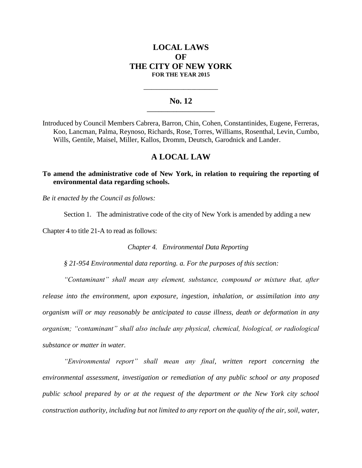## **LOCAL LAWS OF THE CITY OF NEW YORK FOR THE YEAR 2015**

## **No. 12 \_\_\_\_\_\_\_\_\_\_\_\_\_\_\_\_\_\_\_\_\_\_\_**

**\_\_\_\_\_\_\_\_\_\_\_\_\_\_\_\_\_\_\_\_\_\_\_\_\_\_\_\_**

Introduced by Council Members Cabrera, Barron, Chin, Cohen, Constantinides, Eugene, Ferreras, Koo, Lancman, Palma, Reynoso, Richards, Rose, Torres, Williams, Rosenthal, Levin, Cumbo, Wills, Gentile, Maisel, Miller, Kallos, Dromm, Deutsch, Garodnick and Lander.

## **A LOCAL LAW**

**To amend the administrative code of New York, in relation to requiring the reporting of environmental data regarding schools.**

*Be it enacted by the Council as follows:*

Section 1. The administrative code of the city of New York is amended by adding a new

Chapter 4 to title 21-A to read as follows:

*Chapter 4. Environmental Data Reporting*

*§ 21-954 Environmental data reporting. a. For the purposes of this section:*

*"Contaminant" shall mean any element, substance, compound or mixture that, after release into the environment, upon exposure, ingestion, inhalation, or assimilation into any organism will or may reasonably be anticipated to cause illness, death or deformation in any organism; "contaminant" shall also include any physical, chemical, biological, or radiological substance or matter in water.* 

*"Environmental report" shall mean any final, written report concerning the environmental assessment, investigation or remediation of any public school or any proposed public school prepared by or at the request of the department or the New York city school construction authority, including but not limited to any report on the quality of the air, soil, water,*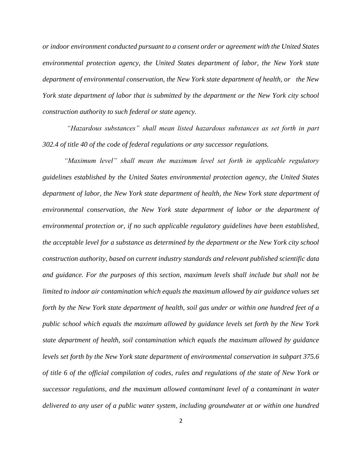*or indoor environment conducted pursuant to a consent order or agreement with the United States environmental protection agency, the United States department of labor, the New York state department of environmental conservation, the New York state department of health, or the New York state department of labor that is submitted by the department or the New York city school construction authority to such federal or state agency.* 

*"Hazardous substances" shall mean listed hazardous substances as set forth in part 302.4 of title 40 of the code of federal regulations or any successor regulations.*

*"Maximum level" shall mean the maximum level set forth in applicable regulatory guidelines established by the United States environmental protection agency, the United States department of labor, the New York state department of health, the New York state department of environmental conservation, the New York state department of labor or the department of environmental protection or, if no such applicable regulatory guidelines have been established, the acceptable level for a substance as determined by the department or the New York city school construction authority, based on current industry standards and relevant published scientific data and guidance. For the purposes of this section, maximum levels shall include but shall not be limited to indoor air contamination which equals the maximum allowed by air guidance values set forth by the New York state department of health, soil gas under or within one hundred feet of a public school which equals the maximum allowed by guidance levels set forth by the New York state department of health, soil contamination which equals the maximum allowed by guidance levels set forth by the New York state department of environmental conservation in subpart 375.6 of title 6 of the official compilation of codes, rules and regulations of the state of New York or successor regulations, and the maximum allowed contaminant level of a contaminant in water delivered to any user of a public water system, including groundwater at or within one hundred*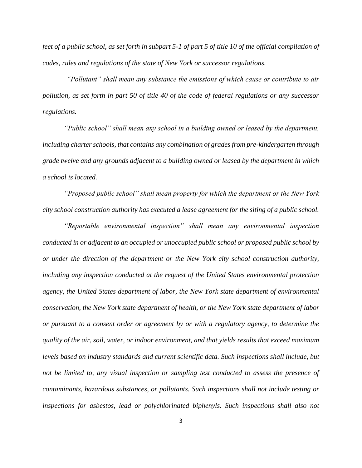*feet of a public school, as set forth in subpart 5-1 of part 5 of title 10 of the official compilation of codes, rules and regulations of the state of New York or successor regulations.* 

*"Pollutant" shall mean any substance the emissions of which cause or contribute to air pollution, as set forth in part 50 of title 40 of the code of federal regulations or any successor regulations.* 

*"Public school" shall mean any school in a building owned or leased by the department, including charter schools, that contains any combination of grades from pre-kindergarten through grade twelve and any grounds adjacent to a building owned or leased by the department in which a school is located.*

*"Proposed public school" shall mean property for which the department or the New York city school construction authority has executed a lease agreement for the siting of a public school.* 

*"Reportable environmental inspection" shall mean any environmental inspection conducted in or adjacent to an occupied or unoccupied public school or proposed public school by or under the direction of the department or the New York city school construction authority, including any inspection conducted at the request of the United States environmental protection agency, the United States department of labor, the New York state department of environmental conservation, the New York state department of health, or the New York state department of labor or pursuant to a consent order or agreement by or with a regulatory agency, to determine the quality of the air, soil, water, or indoor environment, and that yields results that exceed maximum levels based on industry standards and current scientific data. Such inspections shall include, but not be limited to, any visual inspection or sampling test conducted to assess the presence of contaminants, hazardous substances, or pollutants. Such inspections shall not include testing or inspections for asbestos, lead or polychlorinated biphenyls. Such inspections shall also not*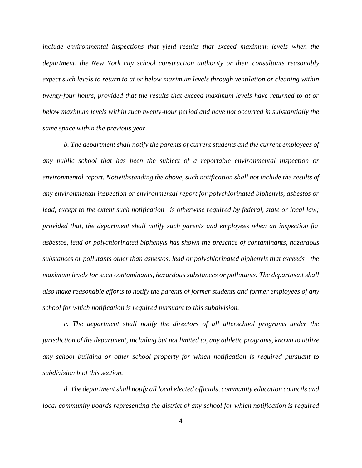*include environmental inspections that yield results that exceed maximum levels when the department, the New York city school construction authority or their consultants reasonably expect such levels to return to at or below maximum levels through ventilation or cleaning within twenty-four hours, provided that the results that exceed maximum levels have returned to at or below maximum levels within such twenty-hour period and have not occurred in substantially the same space within the previous year.*

*b. The department shall notify the parents of current students and the current employees of any public school that has been the subject of a reportable environmental inspection or environmental report. Notwithstanding the above, such notification shall not include the results of any environmental inspection or environmental report for polychlorinated biphenyls, asbestos or lead, except to the extent such notification is otherwise required by federal, state or local law; provided that, the department shall notify such parents and employees when an inspection for asbestos, lead or polychlorinated biphenyls has shown the presence of contaminants, hazardous substances or pollutants other than asbestos, lead or polychlorinated biphenyls that exceeds the maximum levels for such contaminants, hazardous substances or pollutants. The department shall also make reasonable efforts to notify the parents of former students and former employees of any school for which notification is required pursuant to this subdivision.* 

*c. The department shall notify the directors of all afterschool programs under the jurisdiction of the department, including but not limited to, any athletic programs, known to utilize any school building or other school property for which notification is required pursuant to subdivision b of this section.*

*d. The department shall notify all local elected officials, community education councils and local community boards representing the district of any school for which notification is required*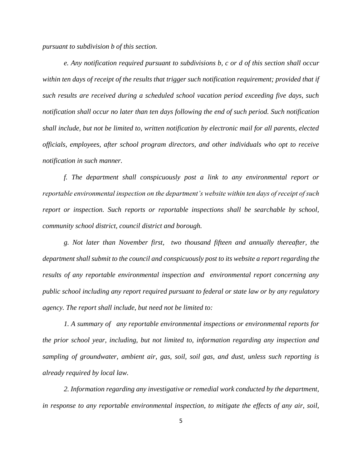*pursuant to subdivision b of this section.* 

*e. Any notification required pursuant to subdivisions b, c or d of this section shall occur within ten days of receipt of the results that trigger such notification requirement; provided that if such results are received during a scheduled school vacation period exceeding five days, such notification shall occur no later than ten days following the end of such period. Such notification shall include, but not be limited to, written notification by electronic mail for all parents, elected officials, employees, after school program directors, and other individuals who opt to receive notification in such manner.*

*f. The department shall conspicuously post a link to any environmental report or reportable environmental inspection on the department's website within ten days of receipt of such report or inspection. Such reports or reportable inspections shall be searchable by school, community school district, council district and borough.*

*g. Not later than November first, two thousand fifteen and annually thereafter, the department shall submit to the council and conspicuously post to its website a report regarding the results of any reportable environmental inspection and environmental report concerning any public school including any report required pursuant to federal or state law or by any regulatory agency. The report shall include, but need not be limited to:*

*1. A summary of any reportable environmental inspections or environmental reports for the prior school year, including, but not limited to, information regarding any inspection and sampling of groundwater, ambient air, gas, soil, soil gas, and dust, unless such reporting is already required by local law.*

*2. Information regarding any investigative or remedial work conducted by the department, in response to any reportable environmental inspection, to mitigate the effects of any air, soil,*